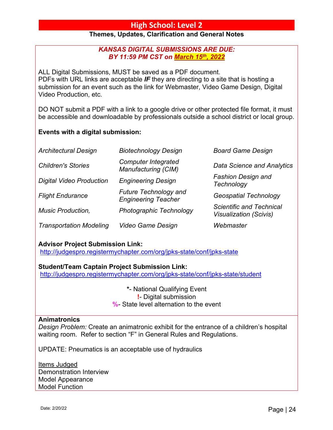# **High School: Level 2**

# **Themes, Updates, Clarification and General Notes**

# *KANSAS DIGITAL SUBMISSIONS ARE DUE: BY 11:59 PM CST on March 15th, 2022*

ALL Digital Submissions, MUST be saved as a PDF document. PDFs with URL links are acceptable *IF* they are directing to a site that is hosting a submission for an event such as the link for Webmaster, Video Game Design, Digital Video Production, etc.

DO NOT submit a PDF with a link to a google drive or other protected file format, it must be accessible and downloadable by professionals outside a school district or local group.

# **Events with a digital submission:**

| <b>Architectural Design</b>     | <b>Biotechnology Design</b>                                | <b>Board Game Design</b>                                         |
|---------------------------------|------------------------------------------------------------|------------------------------------------------------------------|
| <b>Children's Stories</b>       | <b>Computer Integrated</b><br>Manufacturing (CIM)          | <b>Data Science and Analytics</b>                                |
| <b>Digital Video Production</b> | <b>Engineering Design</b>                                  | <b>Fashion Design and</b><br>Technology                          |
| <b>Flight Endurance</b>         | <b>Future Technology and</b><br><b>Engineering Teacher</b> | <b>Geospatial Technology</b>                                     |
| <b>Music Production,</b>        | Photographic Technology                                    | <b>Scientific and Technical</b><br><b>Visualization (Scivis)</b> |
| <b>Transportation Modeling</b>  | Video Game Design                                          | Webmaster                                                        |

# **Advisor Project Submission Link:**

http://judgespro.registermychapter.com/org/jpks-state/conf/jpks-state

#### **Student/Team Captain Project Submission Link:**

http://judgespro.registermychapter.com/org/jpks-state/conf/jpks-state/student

**\***- National Qualifying Event **!**- Digital submission **%**- State level alternation to the event

#### **Animatronics**

*Design Problem:* Create an animatronic exhibit for the entrance of a children's hospital waiting room. Refer to section "F" in General Rules and Regulations.

UPDATE: Pneumatics is an acceptable use of hydraulics

Items Judged Demonstration Interview Model Appearance Model Function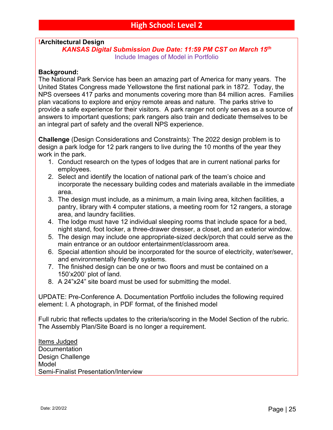# **!Architectural Design**

```
KANSAS Digital Submission Due Date: 11:59 PM CST on March 15th
    Include Images of Model in Portfolio
```
#### **Background:**

The National Park Service has been an amazing part of America for many years. The United States Congress made Yellowstone the first national park in 1872. Today, the NPS oversees 417 parks and monuments covering more than 84 million acres. Families plan vacations to explore and enjoy remote areas and nature. The parks strive to provide a safe experience for their visitors. A park ranger not only serves as a source of answers to important questions; park rangers also train and dedicate themselves to be an integral part of safety and the overall NPS experience.

**Challenge** (Design Considerations and Constraints): The 2022 design problem is to design a park lodge for 12 park rangers to live during the 10 months of the year they work in the park.

- 1. Conduct research on the types of lodges that are in current national parks for employees.
- 2. Select and identify the location of national park of the team's choice and incorporate the necessary building codes and materials available in the immediate area.
- 3. The design must include, as a minimum, a main living area, kitchen facilities, a pantry, library with 4 computer stations, a meeting room for 12 rangers, a storage area, and laundry facilities.
- 4. The lodge must have 12 individual sleeping rooms that include space for a bed, night stand, foot locker, a three-drawer dresser, a closet, and an exterior window.
- 5. The design may include one appropriate-sized deck/porch that could serve as the main entrance or an outdoor entertainment/classroom area.
- 6. Special attention should be incorporated for the source of electricity, water/sewer, and environmentally friendly systems.
- 7. The finished design can be one or two floors and must be contained on a 150'x200' plot of land.
- 8. A 24"x24" site board must be used for submitting the model.

UPDATE: Pre-Conference A. Documentation Portfolio includes the following required element: I. A photograph, in PDF format, of the finished model

Full rubric that reflects updates to the criteria/scoring in the Model Section of the rubric. The Assembly Plan/Site Board is no longer a requirement.

Items Judged Documentation Design Challenge Model Semi-Finalist Presentation/Interview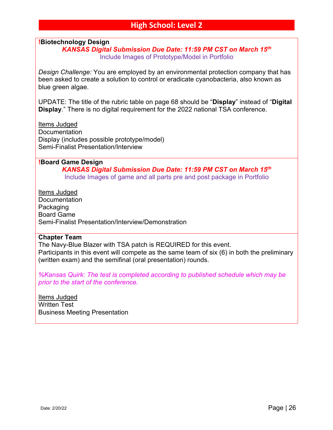# **!Biotechnology Design**

# *KANSAS Digital Submission Due Date: 11:59 PM CST on March 15th* Include Images of Prototype/Model in Portfolio

*Design Challenge:* You are employed by an environmental protection company that has been asked to create a solution to control or eradicate cyanobacteria, also known as blue green algae.

UPDATE: The title of the rubric table on page 68 should be "**Display**" instead of "**Digital Display**." There is no digital requirement for the 2022 national TSA conference.

Items Judged **Documentation** Display (includes possible prototype/model) Semi-Finalist Presentation/Interview

#### **!Board Game Design**

*KANSAS Digital Submission Due Date: 11:59 PM CST on March 15th* Include Images of game and all parts pre and post package in Portfolio

Items Judged **Documentation Packaging** Board Game Semi-Finalist Presentation/Interview/Demonstration

#### **Chapter Team**

The Navy-Blue Blazer with TSA patch is REQUIRED for this event. Participants in this event will compete as the same team of six (6) in both the preliminary (written exam) and the semifinal (oral presentation) rounds.

*%Kansas Quirk: The test is completed according to published schedule which may be prior to the start of the conference.* 

Items Judged Written Test Business Meeting Presentation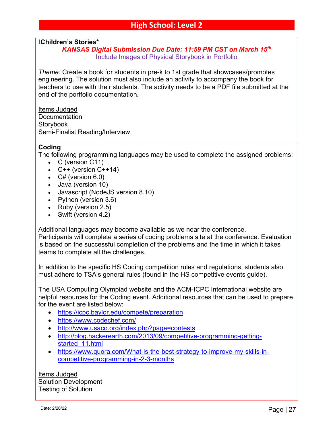# **!Children's Stories\***

# *KANSAS Digital Submission Due Date: 11:59 PM CST on March 15th* Include Images of Physical Storybook in Portfolio

*Theme:* Create a book for students in pre-k to 1st grade that showcases/promotes engineering. The solution must also include an activity to accompany the book for teachers to use with their students. The activity needs to be a PDF file submitted at the end of the portfolio documentation**.**

Items Judged **Documentation Storybook** Semi-Finalist Reading/Interview

## **Coding**

The following programming languages may be used to complete the assigned problems:

- C (version C11)
- $C++$  (version  $C++14$ )
- $C#$  (version 6.0)
- Java (version 10)
- Javascript (NodeJS version 8.10)
- Python (version 3.6)
- Ruby (version 2.5)
- Swift (version 4.2)

Additional languages may become available as we near the conference.

Participants will complete a series of coding problems site at the conference. Evaluation is based on the successful completion of the problems and the time in which it takes teams to complete all the challenges.

In addition to the specific HS Coding competition rules and regulations, students also must adhere to TSA's general rules (found in the HS competitive events guide).

The USA Computing Olympiad website and the ACM-ICPC International website are helpful resources for the Coding event. Additional resources that can be used to prepare for the event are listed below:

- https://icpc.baylor.edu/compete/preparation
- https://www.codechef.com/
- http://www.usaco.org/index.php?page=contests
- http://blog.hackerearth.com/2013/09/competitive-programming-gettingstarted\_11.html
- https://www.quora.com/What-is-the-best-strategy-to-improve-my-skills-incompetitive-programming-in-2-3-months

Items Judged Solution Development Testing of Solution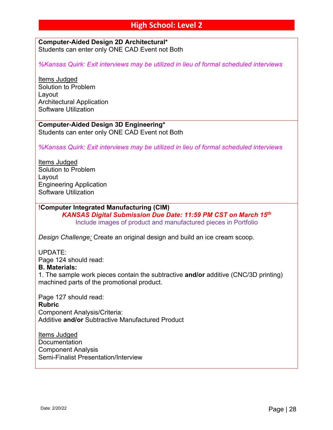#### **Computer-Aided Design 2D Architectural\*** Students can enter only ONE CAD Event not Both

*%Kansas Quirk: Exit interviews may be utilized in lieu of formal scheduled interviews*

Items Judged Solution to Problem Layout Architectural Application Software Utilization

**Computer-Aided Design 3D Engineering\*** Students can enter only ONE CAD Event not Both

*%Kansas Quirk: Exit interviews may be utilized in lieu of formal scheduled interviews*

Items Judged Solution to Problem Layout Engineering Application Software Utilization

# **!Computer Integrated Manufacturing (CIM)**

*KANSAS Digital Submission Due Date: 11:59 PM CST on March 15th* Include images of product and manufactured pieces in Portfolio

*Design Challenge:* Create an original design and build an ice cream scoop.

UPDATE:

Page 124 should read:

#### **B. Materials:**

1. The sample work pieces contain the subtractive **and/or** additive (CNC/3D printing) machined parts of the promotional product.

Page 127 should read: **Rubric** Component Analysis/Criteria: Additive **and/or** Subtractive Manufactured Product

Items Judged **Documentation** Component Analysis Semi-Finalist Presentation/Interview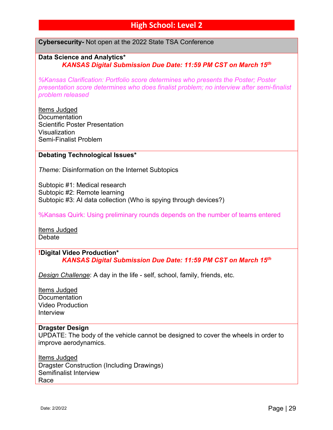# **High School: Level 2**

**Cybersecurity-** Not open at the 2022 State TSA Conference

# **Data Science and Analytics\*** *KANSAS Digital Submission Due Date: 11:59 PM CST on March 15th*

*%Kansas Clarification: Portfolio score determines who presents the Poster; Poster presentation score determines who does finalist problem; no interview after semi-finalist problem released*

Items Judged **Documentation** Scientific Poster Presentation Visualization Semi-Finalist Problem

#### **Debating Technological Issues\***

*Theme:* Disinformation on the Internet Subtopics

Subtopic #1: Medical research Subtopic #2: Remote learning Subtopic #3: AI data collection (Who is spying through devices?)

%Kansas Quirk: Using preliminary rounds depends on the number of teams entered

Items Judged **Debate** 

### **!Digital Video Production\*** *KANSAS Digital Submission Due Date: 11:59 PM CST on March 15th*

*Design Challenge*: A day in the life - self, school, family, friends, etc.

Items Judged **Documentation** Video Production Interview

#### **Dragster Design**

UPDATE: The body of the vehicle cannot be designed to cover the wheels in order to improve aerodynamics.

Items Judged Dragster Construction (Including Drawings) Semifinalist Interview Race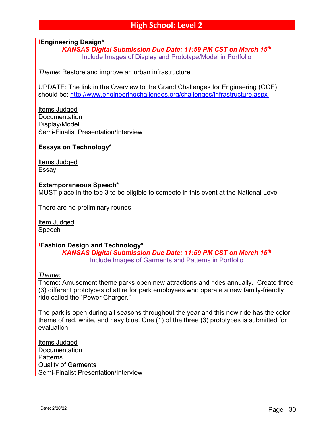# **!Engineering Design\***

*KANSAS Digital Submission Due Date: 11:59 PM CST on March 15th* Include Images of Display and Prototype/Model in Portfolio

*Theme*: Restore and improve an urban infrastructure

UPDATE: The link in the Overview to the Grand Challenges for Engineering (GCE) should be: http://www.engineeringchallenges.org/challenges/infrastructure.aspx

Items Judged **Documentation** Display/Model Semi-Finalist Presentation/Interview

## **Essays on Technology\***

Items Judged Essay

#### **Extemporaneous Speech\***

MUST place in the top 3 to be eligible to compete in this event at the National Level

There are no preliminary rounds

Item Judged Speech

**!Fashion Design and Technology\***

*KANSAS Digital Submission Due Date: 11:59 PM CST on March 15th* Include Images of Garments and Patterns in Portfolio

*Theme:*

Theme: Amusement theme parks open new attractions and rides annually. Create three (3) different prototypes of attire for park employees who operate a new family-friendly ride called the "Power Charger."

The park is open during all seasons throughout the year and this new ride has the color theme of red, white, and navy blue. One (1) of the three (3) prototypes is submitted for evaluation.

Items Judged **Documentation Patterns** Quality of Garments Semi-Finalist Presentation/Interview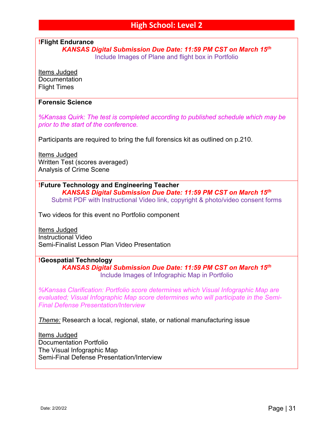**!Flight Endurance**

*KANSAS Digital Submission Due Date: 11:59 PM CST on March 15th*

Include Images of Plane and flight box in Portfolio

Items Judged **Documentation** Flight Times

### **Forensic Science**

*%Kansas Quirk: The test is completed according to published schedule which may be prior to the start of the conference.* 

Participants are required to bring the full forensics kit as outlined on p.210.

Items Judged Written Test (scores averaged) Analysis of Crime Scene

**!Future Technology and Engineering Teacher** *KANSAS Digital Submission Due Date: 11:59 PM CST on March 15th* Submit PDF with Instructional Video link, copyright & photo/video consent forms

Two videos for this event no Portfolio component

Items Judged Instructional Video Semi-Finalist Lesson Plan Video Presentation

#### **!Geospatial Technology**

*KANSAS Digital Submission Due Date: 11:59 PM CST on March 15th* Include Images of Infographic Map in Portfolio

*%Kansas Clarification: Portfolio score determines which Visual Infographic Map are evaluated; Visual Infographic Map score determines who will participate in the Semi-Final Defense Presentation/Interview*

*Theme:* Research a local, regional, state, or national manufacturing issue

Items Judged Documentation Portfolio The Visual Infographic Map Semi-Final Defense Presentation/Interview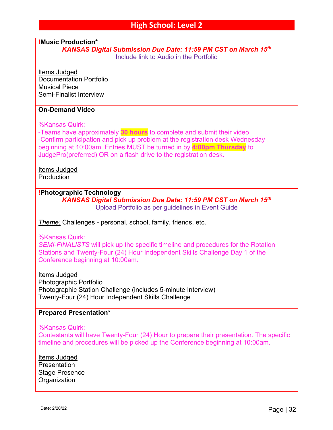**!Music Production\***

*KANSAS Digital Submission Due Date: 11:59 PM CST on March 15th* Include link to Audio in the Portfolio

Items Judged Documentation Portfolio Musical Piece Semi-Finalist Interview

## **On-Demand Video**

%Kansas Quirk:

-Teams have approximately **30 hours** to complete and submit their video -Confirm participation and pick up problem at the registration desk Wednesday beginning at 10:00am. Entries MUST be turned in by **4:00pm Thursday** to JudgePro(preferred) OR on a flash drive to the registration desk.

Items Judged **Production** 

# **!Photographic Technology**

*KANSAS Digital Submission Due Date: 11:59 PM CST on March 15th* Upload Portfolio as per guidelines in Event Guide

*Theme:* Challenges - personal, school, family, friends, etc.

#### %Kansas Quirk:

*SEMI-FINALISTS* will pick up the specific timeline and procedures for the Rotation Stations and Twenty-Four (24) Hour Independent Skills Challenge Day 1 of the Conference beginning at 10:00am.

Items Judged Photographic Portfolio Photographic Station Challenge (includes 5-minute Interview) Twenty-Four (24) Hour Independent Skills Challenge

# **Prepared Presentation\***

%Kansas Quirk:

Contestants will have Twenty-Four (24) Hour to prepare their presentation. The specific timeline and procedures will be picked up the Conference beginning at 10:00am.

Items Judged **Presentation** Stage Presence **Organization**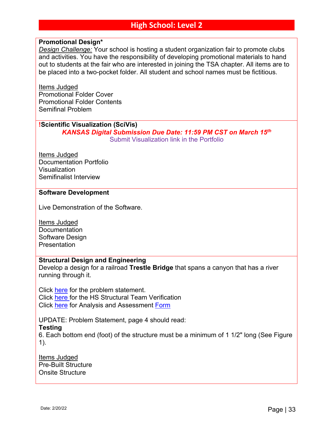# **Promotional Design\***

*Design Challenge:* Your school is hosting a student organization fair to promote clubs and activities. You have the responsibility of developing promotional materials to hand out to students at the fair who are interested in joining the TSA chapter. All items are to be placed into a two-pocket folder. All student and school names must be fictitious.

Items Judged Promotional Folder Cover Promotional Folder Contents Semifinal Problem

# **!Scientific Visualization (SciVis)**

*KANSAS Digital Submission Due Date: 11:59 PM CST on March 15th* Submit Visualization link in the Portfolio

Items Judged Documentation Portfolio Visualization Semifinalist Interview

#### **Software Development**

Live Demonstration of the Software.

Items Judged **Documentation** Software Design **Presentation** 

## **Structural Design and Engineering**

Develop a design for a railroad **Trestle Bridge** that spans a canyon that has a river running through it.

Click here for the problem statement. Click here for the HS Structural Team Verification Click here for Analysis and Assessment Form

UPDATE: Problem Statement, page 4 should read:

#### **Testing**

6. Each bottom end (foot) of the structure must be a minimum of 1 1/2" long (See Figure 1).

Items Judged Pre-Built Structure Onsite Structure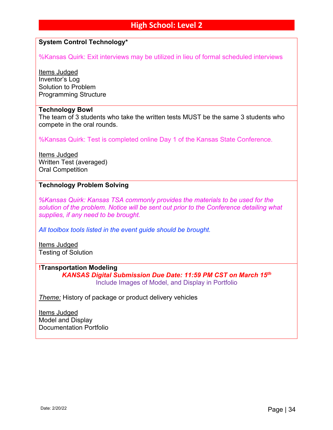# **High School: Level 2**

# **System Control Technology\***

%Kansas Quirk: Exit interviews may be utilized in lieu of formal scheduled interviews

Items Judged Inventor's Log Solution to Problem Programming Structure

#### **Technology Bowl**

The team of 3 students who take the written tests MUST be the same 3 students who compete in the oral rounds.

%Kansas Quirk: Test is completed online Day 1 of the Kansas State Conference.

Items Judged Written Test (averaged) Oral Competition

## **Technology Problem Solving**

*%Kansas Quirk: Kansas TSA commonly provides the materials to be used for the solution of the problem. Notice will be sent out prior to the Conference detailing what supplies, if any need to be brought.* 

*All toolbox tools listed in the event guide should be brought.*

Items Judged Testing of Solution

# **!Transportation Modeling**

*KANSAS Digital Submission Due Date: 11:59 PM CST on March 15th* Include Images of Model, and Display in Portfolio

*Theme:* History of package or product delivery vehicles

Items Judged Model and Display Documentation Portfolio